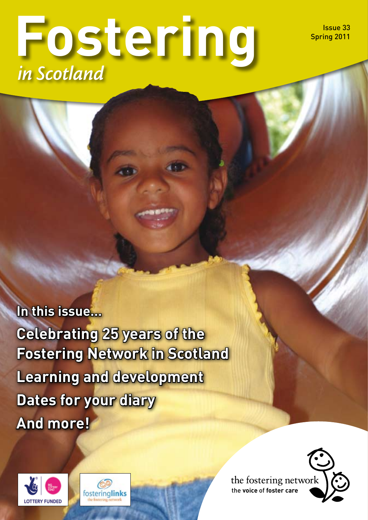Issue 33 Spring 2011

# **Fostering** *in Scotland*

**In this issue… Celebrating 25 years of the Fostering Network in Scotland Learning and development Dates for your diary And more!**





the fostering network the **voice** of **foster care**

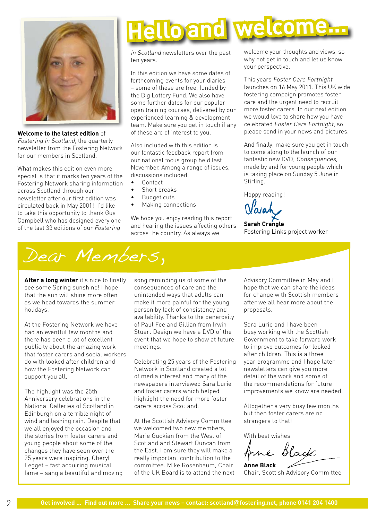

**Welcome to the latest edition** of Fostering in Scotland, the quarterly newsletter from the Fostering Network for our members in Scotland.

What makes this edition even more special is that it marks ten years of the Fostering Network sharing information across Scotland through our newsletter after our first edition was circulated back in May 2001! I'd like to take this opportunity to thank Gus Campbell who has designed every one of the last 33 editions of our Fostering

# **Hello and welcome...**

in Scotland newsletters over the past ten years.

In this edition we have some dates of forthcoming events for your diaries – some of these are free, funded by the Big Lottery Fund. We also have some further dates for our popular open training courses, delivered by our experienced learning & development team. Make sure you get in touch if any of these are of interest to you.

Also included with this edition is our fantastic feedback report from our national focus group held last November. Among a range of issues, discussions included:

- Contact
- Short breaks
- Budget cuts
- Making connections

We hope you enjoy reading this report and hearing the issues affecting others across the country. As always we

welcome your thoughts and views, so why not get in touch and let us know your perspective.

This years Foster Care Fortnight launches on 16 May 2011. This UK wide fostering campaign promotes foster care and the urgent need to recruit more foster carers. In our next edition we would love to share how you have celebrated Foster Care Fortnight, so please send in your news and pictures.

And finally, make sure you get in touch to come along to the launch of our fantastic new DVD, Consequences, made by and for young people which is taking place on Sunday 5 June in Stirling.

Happy reading!

**Sarah Crangle** Fostering Links project worker



**After a long winter** it's nice to finally see some Spring sunshine! I hope that the sun will shine more often as we head towards the summer holidays.

At the Fostering Network we have had an eventful few months and there has been a lot of excellent publicity about the amazing work that foster carers and social workers do with looked after children and how the Fostering Network can support you all.

The highlight was the 25th Anniversary celebrations in the National Galleries of Scotland in Edinburgh on a terrible night of wind and lashing rain. Despite that we all enjoyed the occasion and the stories from foster carers and young people about some of the changes they have seen over the 25 years were inspiring. Cheryl Legget – fast acquiring musical fame – sang a beautiful and moving song reminding us of some of the consequences of care and the unintended ways that adults can make it more painful for the young person by lack of consistency and availability. Thanks to the generosity of Paul Fee and Gillian from Irwin Stuart Design we have a DVD of the event that we hope to show at future meetings.

Celebrating 25 years of the Fostering Network in Scotland created a lot of media interest and many of the newspapers interviewed Sara Lurie and foster carers which helped highlight the need for more foster carers across Scotland.

At the Scottish Advisory Committee we welcomed two new members, Marie Guckian from the West of Scotland and Stewart Duncan from the East. I am sure they will make a really important contribution to the committee. Mike Rosenbaum, Chair of the UK Board is to attend the next Advisory Committee in May and I hope that we can share the ideas for change with Scottish members after we all hear more about the proposals.

Sara Lurie and I have been busy working with the Scottish Government to take forward work to improve outcomes for looked after children. This is a three year programme and I hope later newsletters can give you more detail of the work and some of the recommendations for future improvements we know are needed.

Altogether a very busy few months but then foster carers are no strangers to that!

With best wishes

Anne Black

**Anne Black** Chair, Scottish Advisory Committee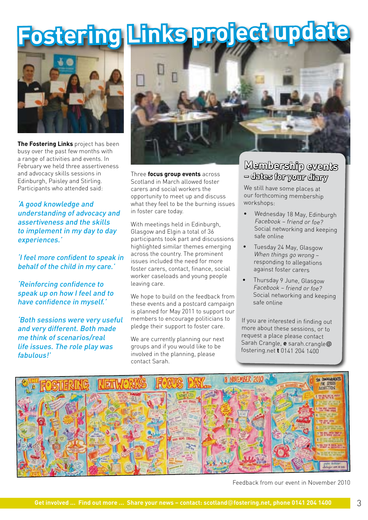# **Fostering Links project update**



**The Fostering Links** project has been busy over the past few months with a range of activities and events. In February we held three assertiveness and advocacy skills sessions in Edinburgh, Paisley and Stirling. Participants who attended said:

'A good knowledge and understanding of advocacy and assertiveness and the skills to implement in my day to day experiences.'

'I feel more confident to speak in behalf of the child in my care.'

'Reinforcing confidence to speak up on how I feel and to have confidence in myself.'

'Both sessions were very useful and very different. Both made me think of scenarios/real life issues. The role play was fabulous!'



Three **focus group events** across Scotland in March allowed foster carers and social workers the opportunity to meet up and discuss what they feel to be the burning issues in foster care today.

With meetings held in Edinburgh, Glasgow and Elgin a total of 36 participants took part and discussions highlighted similar themes emerging across the country. The prominent issues included the need for more foster carers, contact, finance, social worker caseloads and young people leaving care.

We hope to build on the feedback from these events and a postcard campaign is planned for May 2011 to support our members to encourage politicians to pledge their support to foster care.

We are currently planning our next groups and if you would like to be involved in the planning, please contact Sarah.

### **Membership events – dates for your diary**

We still have some places at our forthcoming membership workshops:

- • Wednesday 18 May, Edinburgh Facebook – friend or foe? Social networking and keeping safe online
- • Tuesday 24 May, Glasgow When things go wrong – responding to allegations against foster carers
- • Thursday 9 June, Glasgow Facebook – friend or foe? Social networking and keeping safe online

If you are interested in finding out more about these sessions, or to request a place please contact Sarah Crangle, **e** sarah.crangle@ fostering.net **t** 0141 204 1400



Feedback from our event in November 2010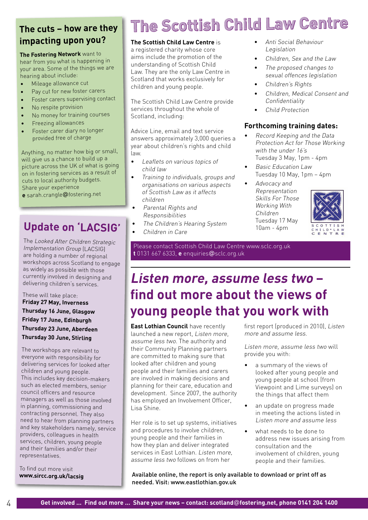### **The cuts – how are they impacting upon you?**

**The Fostering Network** want to hear from you what is happening in your area. Some of the things we are hearing about include:

- •Mileage allowance cut
- •Pay cut for new foster carers
- •Foster carers supervising contact
- •No respite provision
- •No money for training courses
- •Freezing allowances
- • Foster carer diary no longer provided free of charge

Anything, no matter how big or small, will give us a chance to build up a <sup>p</sup>icture across the UK of what is going on in fostering services as a result of cuts to local authority budgets. Share your experience **e** sarah.crangle@fostering.net

### **Update on 'LACSIG'**

The Looked After Children Strategic Implementation Group (LACSIG) are holding a number of regional workshops across Scotland to engage as widely as possible with those currently involved in designing and delivering children's services.

These will take place: **Friday 27 May, Inverness Thursday 16 June, Glasgow Friday 17 June, Edinburgh Thursday 23 June, Aberdeen Thursday 30 June, Stirling**

The workshops are relevant to everyone with responsibility for delivering services for looked after children and young people. This includes key decision-makers such as elected members, senior council officers and resource managers as well as those involved in planning, commissioning and contracting personnel. They also need to hear from planning partners and key stakeholders namely, service providers, colleagues in health services, children, young people and their families and/or their representatives.

To find out more visit **www.sircc.org.uk/lacsig**

### **The Scottish Child Law Centre**

#### **The Scottish Child Law Centre** is

a registered charity whose core aims include the promotion of the understanding of Scottish Child Law. They are the only Law Centre in Scotland that works exclusively for children and young people.

The Scottish Child Law Centre provide services throughout the whole of Scotland, including:

Advice Line, email and text service answers approximately 3,000 queries a year about children's rights and child law.

- Leaflets on various topics of child law
- Training to individuals, groups and organisations on various aspects of Scottish Law as it affects children
- Parental Rights and Responsibilities
- The Children's Hearing System
- Children in Care

• Anti Social Behaviour Legislation

- Children, Sex and the Law
- The proposed changes to sexual offences legislation
- Children's Rights
- Children, Medical Consent and **Confidentiality**
- Child Protection

### **Forthcoming training dates:**

- Record Keeping and the Data Protection Act for Those Working with the under 16's Tuesday 3 May, 1pm - 4pm
- Basic Education Law Tuesday 10 May, 1pm – 4pm
- Advocacy and Representation Skills For Those Working With Children Tuesday 17 May 10am - 4pm



Please contact Scottish Child Law Centre www.sclc.org.uk **t** 0131 667 6333, **e** enquiries@sclc.org.uk

### **Listen more, assume less two – find out more about the views of young people that you work with**

**East Lothian Council** have recently launched a new report, Listen more, assume less two. The authority and their Community Planning partners are committed to making sure that looked after children and young people and their families and carers are involved in making decisions and planning for their care, education and development. Since 2007, the authority has employed an Involvement Officer, Lisa Shine.

Her role is to set up systems, initiatives and procedures to involve children, young people and their families in how they plan and deliver integrated services in East Lothian. Listen more, assume less two follows on from her

first report (produced in 2010), Listen more and assume less.

Listen more, assume less two will provide you with:

- a summary of the views of looked after young people and young people at school (from Viewpoint and Lime surveys) on the things that affect them
- an update on progress made in meeting the actions listed in Listen more and assume less
- what needs to be done to address new issues arising from consultation and the involvement of children, young people and their families.

Available online, the report is only available to download or print off as needed. Visit: www.eastlothian.gov.uk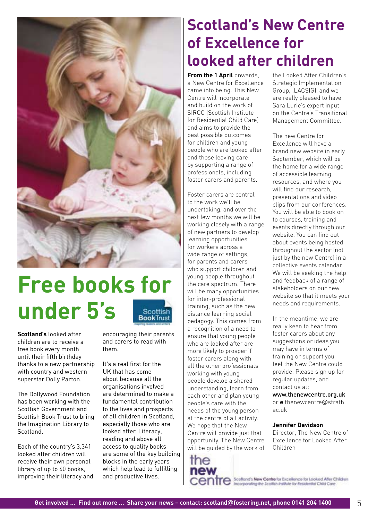

### **Free books for under 5's**Scottish **BookTrust**

**Scotland's** looked after children are to receive a free book every month until their fifth birthday thanks to a new partnership with country and western superstar Dolly Parton.

The Dollywood Foundation has been working with the Scottish Government and Scottish Book Trust to bring the Imagination Library to **Scotland** 

Each of the country's 3,341 looked after children will receive their own personal library of up to 60 books, improving their literacy and

encouraging their parents and carers to read with them.

It's a real first for the UK that has come about because all the organisations involved are determined to make a fundamental contribution to the lives and prospects of all children in Scotland, especially those who are looked after. Literacy, reading and above all access to quality books are some of the key building blocks in the early years which help lead to fulfilling and productive lives.

### **Scotland's New Centre of Excellence for looked after children**

**From the 1 April** onwards, a New Centre for Excellence came into being. This New Centre will incorporate and build on the work of SIRCC (Scottish Institute for Residential Child Care) and aims to provide the best possible outcomes for children and young people who are looked after and those leaving care by supporting a range of professionals, including foster carers and parents.

Foster carers are central to the work we'll be undertaking, and over the next few months we will be working closely with a range of new partners to develop learning opportunities for workers across a wide range of settings, for parents and carers who support children and young people throughout the care spectrum. There will be many opportunities for inter-professional training, such as the new distance learning social pedagogy. This comes from a recognition of a need to ensure that young people who are looked after are more likely to prosper if foster carers along with all the other professionals working with young people develop a shared understanding, learn from each other and plan young people's care with the needs of the young person at the centre of all activity. We hope that the New Centre will provide just that opportunity. The New Centre will be guided by the work of

the Looked After Children's Strategic Implementation Group, (LACSIG), and we are really pleased to have Sara Lurie's expert input on the Centre's Transitional Management Committee.

The new Centre for Excellence will have a brand new website in early September, which will be the home for a wide range of accessible learning resources, and where you will find our research, presentations and video clips from our conferences. You will be able to book on to courses, training and events directly through our website. You can find out about events being hosted throughout the sector (not just by the new Centre) in a collective events calendar. We will be seeking the help and feedback of a range of stakeholders on our new website so that it meets your needs and requirements.

In the meantime, we are really keen to hear from foster carers about any suggestions or ideas you may have in terms of training or support you feel the New Centre could provide. Please sign up for regular updates, and contact us at:

www.thenewcentre.org.uk or **e** thenewcentre@strath. ac.uk

#### **Jennifer Davidson**

Director, The New Centre of Excellence for Looked After Children

CONTC Scotland's New Centre for Excellence for Looked Aller Children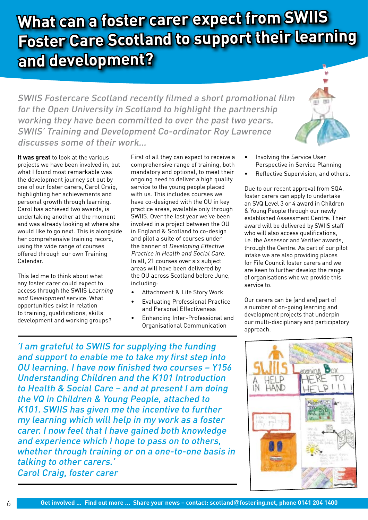### **What can a foster carer expect from SWIIS Foster Care Scotland to support their learning and development?**

SWIIS Fostercare Scotland recently filmed a short promotional film for the Open University in Scotland to highlight the partnership working they have been committed to over the past two years. SWIIS' Training and Development Co-ordinator Roy Lawrence discusses some of their work…

**It was great** to look at the various projects we have been involved in, but what I found most remarkable was the development journey set out by one of our foster carers, Carol Craig, highlighting her achievements and personal growth through learning. Carol has achieved two awards, is undertaking another at the moment and was already looking at where she would like to go next. This is alongside her comprehensive training record, using the wide range of courses offered through our own Training Calendar.

This led me to think about what any foster carer could expect to access through the SWIIS Learning and Development service. What opportunities exist in relation to training, qualifications, skills development and working groups?

First of all they can expect to receive a comprehensive range of training, both mandatory and optional, to meet their ongoing need to deliver a high quality service to the young people placed with us. This includes courses we have co-designed with the OU in key practice areas, available only through SWIIS. Over the last year we've been involved in a project between the OU in England & Scotland to co-design and pilot a suite of courses under the banner of Developing Effective Practice in Health and Social Care. In all, 21 courses over six subject areas will have been delivered by the OU across Scotland before June, including:

- Attachment & Life Story Work
- Evaluating Professional Practice and Personal Effectiveness
- Enhancing Inter-Professional and Organisational Communication
- Involving the Service User Perspective in Service Planning
- Reflective Supervision, and others.

Due to our recent approval from SQA, foster carers can apply to undertake an SVQ Level 3 or 4 award in Children & Young People through our newly established Assessment Centre. Their award will be delivered by SWIIS staff who will also access qualifications, i.e. the Assessor and Verifier awards, through the Centre. As part of our pilot intake we are also providing places for Fife Council foster carers and we are keen to further develop the range of organisations who we provide this service to.

Our carers can be [and are] part of a number of on-going learning and development projects that underpin our multi-disciplinary and participatory approach.

'I am grateful to SWIIS for supplying the funding and support to enable me to take my first step into OU learning. I have now finished two courses – Y156 Understanding Children and the K101 Introduction to Health & Social Care – and at present I am doing the VQ in Children & Young People, attached to K101. SWIIS has given me the incentive to further my learning which will help in my work as a foster carer. I now feel that I have gained both knowledge and experience which I hope to pass on to others, whether through training or on a one-to-one basis in talking to other carers.' Carol Craig, foster carer

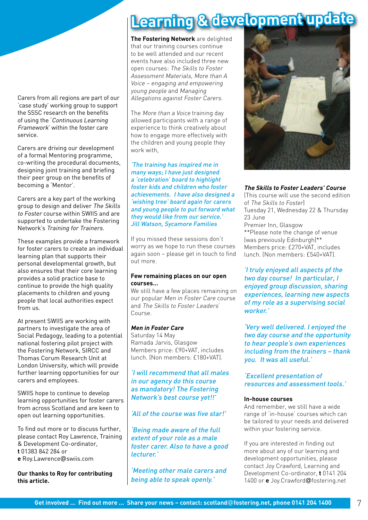Carers from all regions are part of our 'case study' working group to support the SSSC research on the benefits of using the 'Continuous Learning Framework' within the foster care service.

Carers are driving our development of a formal Mentoring programme, co-writing the procedural documents, designing joint training and briefing their peer group on the benefits of becoming a 'Mentor'.

Carers are a key part of the working group to design and deliver The Skills to Foster course within SWIIS and are supported to undertake the Fostering Network's Training for Trainers.

These examples provide a framework for foster carers to create an individual learning plan that supports their personal developmental growth, but also ensures that their core learning provides a solid practice base to continue to provide the high quality placements to children and young people that local authorities expect from us.

At present SWIIS are working with partners to investigate the area of Social Pedagogy, leading to a potential national fostering pilot project with the Fostering Network, SIRCC and Thomas Corum Research Unit at London University, which will provide further learning opportunities for our carers and employees.

SWIIS hope to continue to develop learning opportunities for foster carers from across Scotland and are keen to open out learning opportunities.

To find out more or to discuss further, please contact Roy Lawrence, Training & Development Co-ordinator, **t** 01383 842 284 or **e** Roy.Lawrence@swiis.com

**Our thanks to Roy for contributing this article.**

### **Learning & development update**

**The Fostering Network** are delighted that our training courses continue to be well attended and our recent events have also included three new open courses: The Skills to Foster Assessment Materials, More than A Voice – engaging and empowering young people and Managing Allegations against Foster Carers.

The More than a Voice training day allowed participants with a range of experience to think creatively about how to engage more effectively with the children and young people they work with,

'The training has inspired me in many ways; I have just designed <sup>a</sup>'celebration' board to highlight foster kids and children who foster achievements. I have also designed a 'wishing tree' board again for carers and young people to put forward what they would like from our service.' Jill Watson, Sycamore Families

If you missed these sessions don't worry as we hope to run these courses again soon – please get in touch to find out more.

#### **Few remaining places on our open courses…**

We still have a few places remaining on our popular Men in Foster Care course and The Skills to Foster Leaders' Course.

#### **Men in Foster Care**

Saturday 14 May Ramada Jarvis, Glasgow Members price: £90+VAT, includes lunch. (Non members: £180+VAT).

'I will recommend that all males in our agency do this course as mandatory! The Fostering Network's best course yet!!'

### 'All of the course was five star!'

'Being made aware of the full extent of your role as a male foster carer. Also to have a good lecturer.'

'Meeting other male carers and being able to speak openly.'



#### **The Skills to Foster Leaders' Course**

(This course will use the second edition of The Skills to Foster) Tuesday 21, Wednesday 22 & Thursday 23 June Premier Inn, Glasgow \*\*Please note the change of venue (was previously Edinburgh)\*\* Members price: £270+VAT, includes lunch. (Non members: £540+VAT).

'I truly enjoyed all aspects pf the two day course! In particular, I enjoyed group discussion, sharing experiences, learning new aspects of my role as a supervising social worker.'

'Very well delivered. I enjoyed the two day course and the opportunity to hear people's own experiences including from the trainers – thank you. It was all useful.'

'Excellent presentation of resources and assessment tools.'

#### **In-house courses**

And remember, we still have a wide range of 'in-house' courses which can be tailored to your needs and delivered within your fostering service.

If you are interested in finding out more about any of our learning and development opportunities, please contact Joy Crawford, Learning and Development Co-ordinator, **t** 0141 204 1400 or **e** Joy.Crawford@fostering.net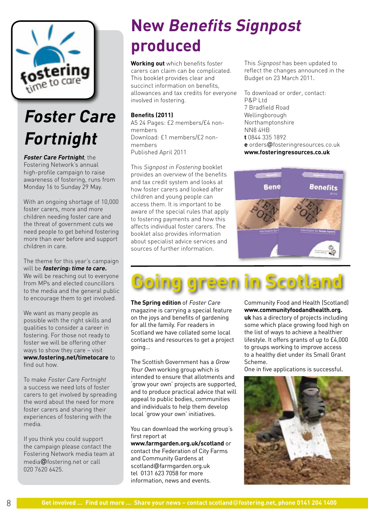

### **Foster Care Fortnight**

#### **Foster Care Fortnight**, the

Fostering Network's annual high-profile campaign to raise awareness of fostering, runs from Monday 16 to Sunday 29 May.

With an ongoing shortage of 10,000 foster carers, more and more children needing foster care and the threat of government cuts we need people to get behind fostering more than ever before and support children in care.

The theme for this year's campaign will be **fostering: time to care.**  We will be reaching out to everyone from MPs and elected councillors to the media and the general public to encourage them to get involved.

We want as many people as possible with the right skills and qualities to consider a career in fostering. For those not ready to foster we will be offering other ways to show they care – visit **www.fostering.net/timetocare** to find out how.

To make Foster Care Fortnight a success we need lots of foster carers to get involved by spreading the word about the need for more foster carers and sharing their experiences of fostering with the media.

If you think you could support the campaign please contact the Fostering Network media team at media@fostering.net or call 020 7620 6425.

### **New Benefits Signpost produced**

**Working out** which benefits foster carers can claim can be complicated. This booklet provides clear and succinct information on benefits, allowances and tax credits for everyone involved in fostering.

### **Benefits (2011)**

A5 24 Pages: £2 members/£4 nonmembers Download: £1 members/£2 nonmembers Published April 2011

This Signpost in Fostering booklet provides an overview of the benefits and tax credit system and looks at how foster carers and looked after children and young people can access them. It is important to be aware of the special rules that apply to fostering payments and how this affects individual foster carers. The booklet also provides information about specialist advice services and sources of further information.

This Signpost has been updated to reflect the changes announced in the Budget on 23 March 2011.

To download or order, contact: P&P Ltd 7 Bradfield Road Wellingborough Northamptonshire NN8 4HB **t** 0844 335 1892 **e** orders@fosteringresources.co.uk **www.fosteringresources.co.uk**



## **Going green in Scotland**

**The Spring edition** of Foster Care magazine is carrying a special feature on the joys and benefits of gardening for all the family. For readers in Scotland we have collated some local contacts and resources to get a project going…

The Scottish Government has a Grow Your Own working group which is intended to ensure that allotments and 'grow your own' projects are supported, and to produce practical advice that will appeal to public bodies, communities and individuals to help them develop local 'grow your own' initiatives.

You can download the working group's first report at

**www.farmgarden.org.uk/scotland** or contact the Federation of City Farms and Community Gardens at scotland@farmgarden.org.uk tel 0131 623 7058 for more information, news and events.

Community Food and Health (Scotland) **www.communityfoodandhealth.org. uk** has a directory of projects including some which place growing food high on the list of ways to achieve a healthier lifestyle. It offers grants of up to £4,000 to groups working to improve access to a healthy diet under its Small Grant Scheme.

One in five applications is successful.

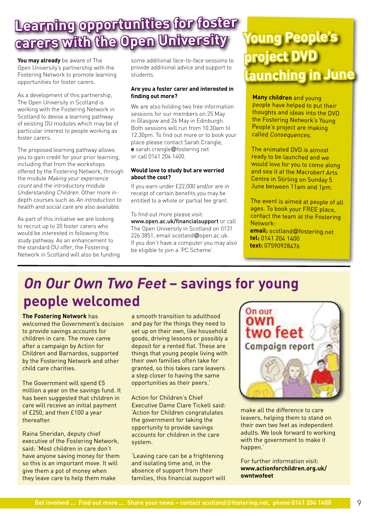### **Learning opportunities for foster carers with the Open University**

**You may already** be aware of The Open University's partnership with the Fostering Network to promote learning opportunities for foster carers.

As a development of this partnership, The Open University in Scotland is working with the Fostering Network in Scotland to devise a learning pathway of existing OU modules which may be of particular interest to people working as foster carers.

The proposed learning pathway allows you to gain credit for your prior learning, including that from the workshops offered by the Fostering Network, through the module Making your experience count and the introductory module Understanding Children. Other more indepth courses such as An introduction to health and social care are also available.

As part of this initiative we are looking to recruit up to 20 foster carers who would be interested in following this study pathway. As an enhancement to the standard OU offer, the Fostering Network in Scotland will also be funding some additional face-to-face sessions to provide additional advice and support to students.

#### **Are you a foster carer and interested in finding out more?**

We are also holding two free information sessions for our members on 25 May in Glasgow and 26 May in Edinburgh. Both sessions will run from 10.30am til 12.30pm. To find out more or to book your place please contact Sarah.Crangle, **e** sarah.crangle@fostering.net or call 0141 204 1400.

#### **Would love to study but are worried about the cost?**

If you earn under £22,000 and/or are in receipt of certain benefits you may be entitled to a whole or partial fee grant.

To find out more please visit: www.open.ac.uk/financialsupport or call The Open University in Scotland on 0131 226 3851, email scotland@open.ac.uk. If you don't have a computer you may also be eligible to join a 'PC Scheme'.

### **Young People's project DVD launching in June**

**Many children** and young people have helped to put their thoughts and ideas into the DVD the Fostering Network's Young People's project are making called Consequences.

The animated DVD is almost ready to be launched and we would love for you to come along and see it at the Macrobert Arts Centre in Stirling on Sunday 5 June between 11am and 1pm.

The event is aimed at people of all ages. To book your FREE place, contact the team at the Fostering Network:

**email:** scotland@fostering.net **tel:** 0141 204 1400 **text:** 07590928476

### **On Our Own Two Feet – savings for young people welcomed**

**The Fostering Network** has welcomed the Government's decision to provide savings accounts for children in care. The move came after a campaign by Action for Children and Barnardos, supported by the Fostering Network and other child care charities.

The Government will spend £5 million a year on the savings fund. It has been suggested that children in care will receive an initial payment of £250, and then £100 a year thereafter.

Raina Sheridan, deputy chief executive of the Fostering Network, said: 'Most children in care don't have anyone saving money for them so this is an important move. It will give them a pot of money when they leave care to help them make

a smooth transition to adulthood and pay for the things they need to set up on their own, like household goods, driving lessons or possibly a deposit for a rented flat. These are things that young people living with their own families often take for granted, so this takes care leavers a step closer to having the same opportunities as their peers.'

Action for Children's Chief Executive Dame Clare Tickell said: 'Action for Children congratulates the government for taking the opportunity to provide savings accounts for children in the care system.

'Leaving care can be a frightening and isolating time and, in the absence of support from their families, this financial support will



make all the difference to care leavers, helping them to stand on their own two feet as independent adults. We look forward to working with the government to make it happen.'

For further information visit: **www.actionforchildren.org.uk/ owntwofeet**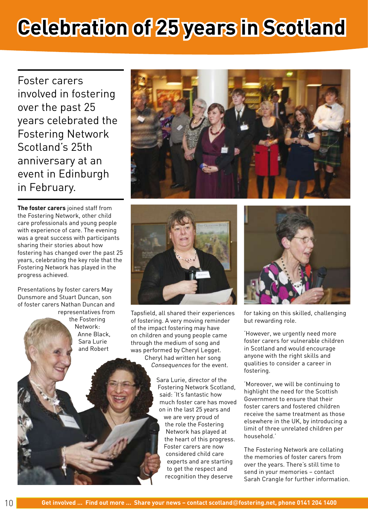# **Celebration of 25 years in Scotland**

Foster carers involved in fostering over the past 25 years celebrated the Fostering Network Scotland's 25th anniversary at an event in Edinburgh in February.

**The foster carers** joined staff from the Fostering Network, other child care professionals and young people with experience of care. The evening was a great success with participants sharing their stories about how fostering has changed over the past 25 years, celebrating the key role that the Fostering Network has played in the progress achieved.

Presentations by foster carers May Dunsmore and Stuart Duncan, son of foster carers Nathan Duncan and representatives from

the Fostering Network: Anne Black, Sara Lurie and Robert





Tapsfield, all shared their experiences of fostering. A very moving reminder of the impact fostering may have on children and young people came through the medium of song and was performed by Cheryl Legget. Cheryl had written her song

Consequences for the event.

Sara Lurie, director of the Fostering Network Scotland, said: 'It's fantastic how much foster care has moved on in the last 25 years and we are very proud of the role the Fostering Network has played at the heart of this progress. Foster carers are now considered child care experts and are starting to get the respect and recognition they deserve



for taking on this skilled, challenging but rewarding role.

'However, we urgently need more foster carers for vulnerable children in Scotland and would encourage anyone with the right skills and qualities to consider a career in fostering.

'Moreover, we will be continuing to highlight the need for the Scottish Government to ensure that their foster carers and fostered children receive the same treatment as those elsewhere in the UK, by introducing a limit of three unrelated children per household.'

The Fostering Network are collating the memories of foster carers from over the years. There's still time to send in your memories – contact Sarah Crangle for further information.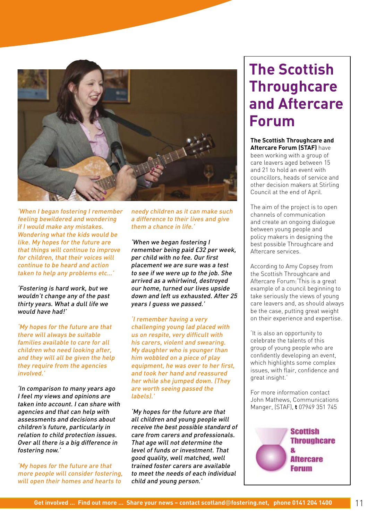

'When I began fostering I remember feeling bewildered and wondering if I would make any mistakes. Wondering what the kids would be like. My hopes for the future are that things will continue to improve for children, that their voices will continue to be heard and action taken to help any problems etc…'

'Fostering is hard work, but we wouldn't change any of the past thirty years. What a dull life we would have had!'

'My hopes for the future are that there will always be suitable families available to care for all children who need looking after, and they will all be given the help they require from the agencies involved.'

'In comparison to many years ago I feel my views and opinions are taken into account. I can share with agencies and that can help with assessments and decisions about children's future, particularly in relation to child protection issues. Over all there is a big difference in fostering now.'

'My hopes for the future are that more people will consider fostering, will open their homes and hearts to

needy children as it can make such a difference to their lives and give them a chance in life.'

'When we began fostering I remember being paid £32 per week, per child with no fee. Our first placement we are sure was a test to see if we were up to the job. She arrived as a whirlwind, destroyed our home, turned our lives upside down and left us exhausted. After 25 years I guess we passed.'

'I remember having a very challenging young lad placed with us on respite, very difficult with his carers, violent and swearing. My daughter who is younger than him wobbled on a piece of play equipment, he was over to her first. and took her hand and reassured her while she jumped down. (They are worth seeing passed the labels).'

'My hopes for the future are that all children and young people will receive the best possible standard of care from carers and professionals. That age will not determine the level of funds or investment. That good quality, well matched, well trained foster carers are available to meet the needs of each individual child and young person.'

### **The Scottish Throughcare and Aftercare Forum**

**The Scottish Throughcare and Aftercare Forum (STAF)** have been working with a group of care leavers aged between 15 and 21 to hold an event with councillors, heads of service and other decision makers at Stirling

Council at the end of April.

The aim of the project is to open channels of communication and create an ongoing dialogue between young people and policy makers in designing the best possible Throughcare and Aftercare services.

According to Amy Copsey from the Scottish Throughcare and Aftercare Forum:'This is a great example of a council beginning to take seriously the views of young care leavers and, as should always be the case, putting great weight on their experience and expertise.

'It is also an opportunity to celebrate the talents of this group of young people who are confidently developing an event, which highlights some complex issues, with flair, confidence and great insight.'

For more information contact John Mathews, Communications Manger, (STAF), **t** 07949 351 745